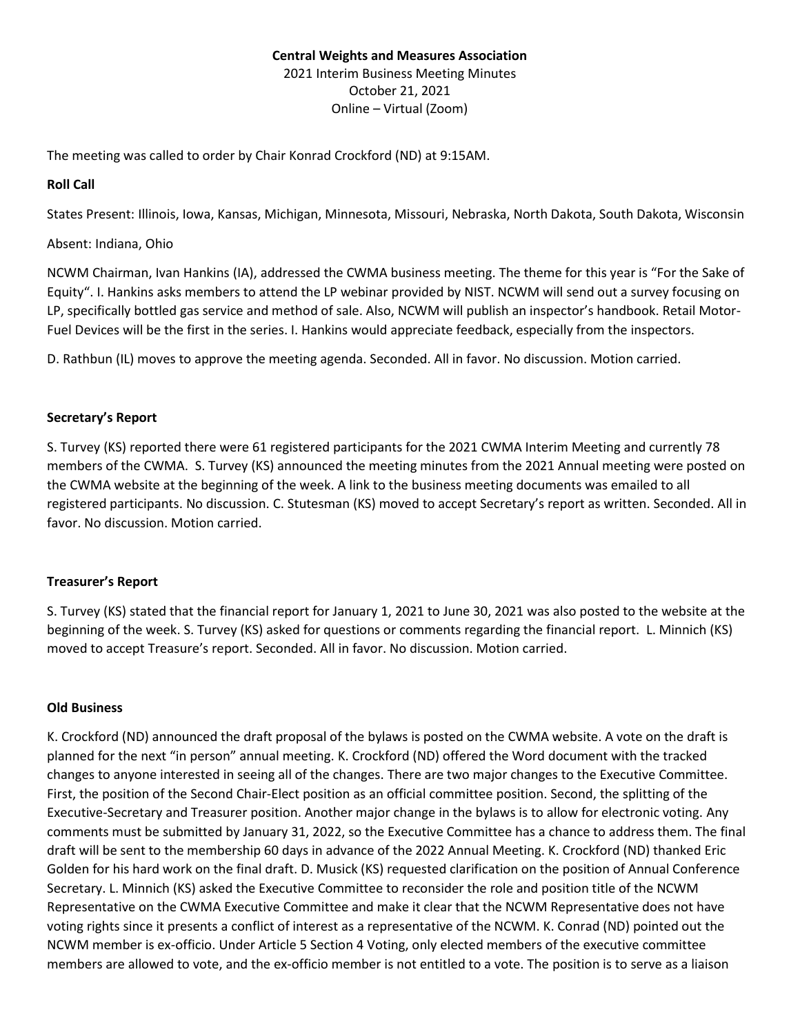# **Central Weights and Measures Association** 2021 Interim Business Meeting Minutes October 21, 2021 Online – Virtual (Zoom)

The meeting was called to order by Chair Konrad Crockford (ND) at 9:15AM.

## **Roll Call**

States Present: Illinois, Iowa, Kansas, Michigan, Minnesota, Missouri, Nebraska, North Dakota, South Dakota, Wisconsin

### Absent: Indiana, Ohio

NCWM Chairman, Ivan Hankins (IA), addressed the CWMA business meeting. The theme for this year is "For the Sake of Equity". I. Hankins asks members to attend the LP webinar provided by NIST. NCWM will send out a survey focusing on LP, specifically bottled gas service and method of sale. Also, NCWM will publish an inspector's handbook. Retail Motor-Fuel Devices will be the first in the series. I. Hankins would appreciate feedback, especially from the inspectors.

D. Rathbun (IL) moves to approve the meeting agenda. Seconded. All in favor. No discussion. Motion carried.

## **Secretary's Report**

S. Turvey (KS) reported there were 61 registered participants for the 2021 CWMA Interim Meeting and currently 78 members of the CWMA. S. Turvey (KS) announced the meeting minutes from the 2021 Annual meeting were posted on the CWMA website at the beginning of the week. A link to the business meeting documents was emailed to all registered participants. No discussion. C. Stutesman (KS) moved to accept Secretary's report as written. Seconded. All in favor. No discussion. Motion carried.

# **Treasurer's Report**

S. Turvey (KS) stated that the financial report for January 1, 2021 to June 30, 2021 was also posted to the website at the beginning of the week. S. Turvey (KS) asked for questions or comments regarding the financial report. L. Minnich (KS) moved to accept Treasure's report. Seconded. All in favor. No discussion. Motion carried.

### **Old Business**

K. Crockford (ND) announced the draft proposal of the bylaws is posted on the CWMA website. A vote on the draft is planned for the next "in person" annual meeting. K. Crockford (ND) offered the Word document with the tracked changes to anyone interested in seeing all of the changes. There are two major changes to the Executive Committee. First, the position of the Second Chair-Elect position as an official committee position. Second, the splitting of the Executive-Secretary and Treasurer position. Another major change in the bylaws is to allow for electronic voting. Any comments must be submitted by January 31, 2022, so the Executive Committee has a chance to address them. The final draft will be sent to the membership 60 days in advance of the 2022 Annual Meeting. K. Crockford (ND) thanked Eric Golden for his hard work on the final draft. D. Musick (KS) requested clarification on the position of Annual Conference Secretary. L. Minnich (KS) asked the Executive Committee to reconsider the role and position title of the NCWM Representative on the CWMA Executive Committee and make it clear that the NCWM Representative does not have voting rights since it presents a conflict of interest as a representative of the NCWM. K. Conrad (ND) pointed out the NCWM member is ex-officio. Under Article 5 Section 4 Voting, only elected members of the executive committee members are allowed to vote, and the ex-officio member is not entitled to a vote. The position is to serve as a liaison